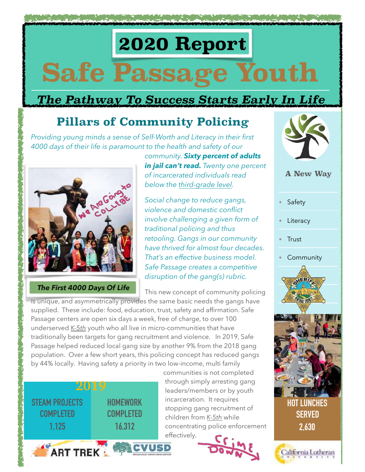# **2020 Report Safe Passage Youth**

### *The Pathway To Success Starts Early In Life*

## **Pillars of Community Policing**

*Providing young minds a sense of Self-Worth and Literacy in their first 4000 days of their life is paramount to the health and safety of our* 



 *The First 4000 Days Of Life*

*community. Sixty percent of adults in jail can't read. Twenty one percent of incarcerated individuals read below the third-grade level.* 

*Social change to reduce gangs, violence and domestic conflict involve challenging a given form of traditional policing and thus retooling. Gangs in our community have thrived for almost four decades. That's an effective business model. Safe Passage creates a competitive disruption of the gang(s) rubric.* 

This new concept of community policing

is unique, and asymmetrically provides the same basic needs the gangs have supplied. These include: food, education, trust, safety and affirmation. Safe Passage centers are open six days a week, free of charge, to over 100 underserved *K-5th* youth who all live in micro-communities that have traditionally been targets for gang recruitment and violence. In 2019, Safe Passage helped reduced local gang size by another 9% from the 2018 gang population. Over a few short years, this policing concept has reduced gangs by 44% locally. Having safety a priority in two low-income, multi family



communities is not completed through simply arresting gang leaders/members or by youth incarceration. It requires stopping gang recruitment of children from *K-5th* while concentrating police enforcement effectively.





 **A New Way** 

- **Safety**
- **Literacy**
- Trust
- **Community**





**2,630**